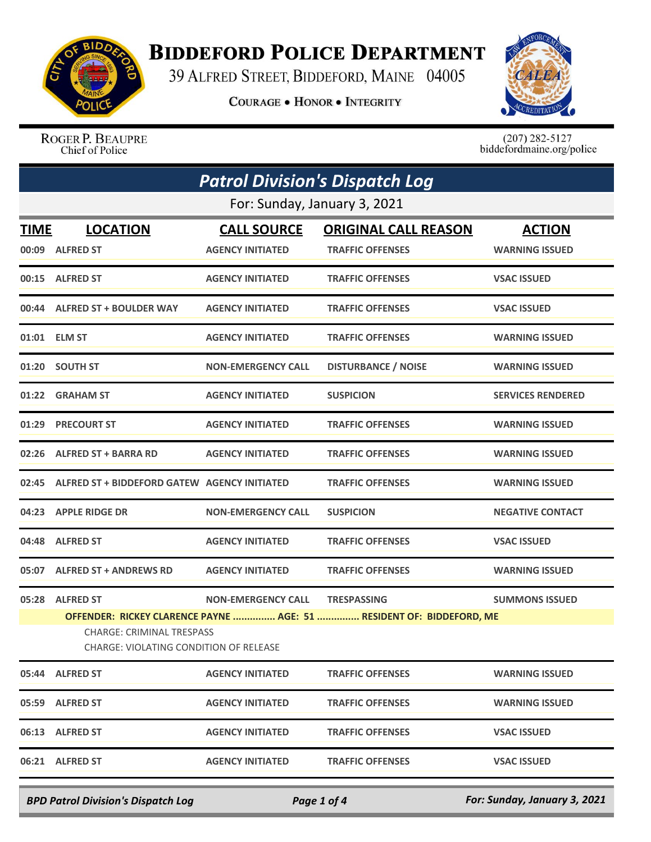

## **BIDDEFORD POLICE DEPARTMENT**

39 ALFRED STREET, BIDDEFORD, MAINE 04005

**COURAGE . HONOR . INTEGRITY** 



ROGER P. BEAUPRE Chief of Police

 $(207)$  282-5127<br>biddefordmaine.org/police

| <b>Patrol Division's Dispatch Log</b> |                                                                                                                                                                                                                                                    |                                               |                                                        |                                        |  |  |  |
|---------------------------------------|----------------------------------------------------------------------------------------------------------------------------------------------------------------------------------------------------------------------------------------------------|-----------------------------------------------|--------------------------------------------------------|----------------------------------------|--|--|--|
| For: Sunday, January 3, 2021          |                                                                                                                                                                                                                                                    |                                               |                                                        |                                        |  |  |  |
| <b>TIME</b>                           | <b>LOCATION</b><br>00:09 ALFRED ST                                                                                                                                                                                                                 | <b>CALL SOURCE</b><br><b>AGENCY INITIATED</b> | <b>ORIGINAL CALL REASON</b><br><b>TRAFFIC OFFENSES</b> | <b>ACTION</b><br><b>WARNING ISSUED</b> |  |  |  |
|                                       | 00:15 ALFRED ST                                                                                                                                                                                                                                    | <b>AGENCY INITIATED</b>                       | <b>TRAFFIC OFFENSES</b>                                | <b>VSAC ISSUED</b>                     |  |  |  |
|                                       | 00:44 ALFRED ST + BOULDER WAY                                                                                                                                                                                                                      | <b>AGENCY INITIATED</b>                       | <b>TRAFFIC OFFENSES</b>                                | <b>VSAC ISSUED</b>                     |  |  |  |
|                                       | 01:01 ELM ST                                                                                                                                                                                                                                       | <b>AGENCY INITIATED</b>                       | <b>TRAFFIC OFFENSES</b>                                | <b>WARNING ISSUED</b>                  |  |  |  |
|                                       | 01:20 SOUTH ST                                                                                                                                                                                                                                     | <b>NON-EMERGENCY CALL</b>                     | <b>DISTURBANCE / NOISE</b>                             | <b>WARNING ISSUED</b>                  |  |  |  |
|                                       | 01:22 GRAHAM ST                                                                                                                                                                                                                                    | <b>AGENCY INITIATED</b>                       | <b>SUSPICION</b>                                       | <b>SERVICES RENDERED</b>               |  |  |  |
| 01:29                                 | <b>PRECOURT ST</b>                                                                                                                                                                                                                                 | <b>AGENCY INITIATED</b>                       | <b>TRAFFIC OFFENSES</b>                                | <b>WARNING ISSUED</b>                  |  |  |  |
|                                       | 02:26 ALFRED ST + BARRA RD                                                                                                                                                                                                                         | <b>AGENCY INITIATED</b>                       | <b>TRAFFIC OFFENSES</b>                                | <b>WARNING ISSUED</b>                  |  |  |  |
| 02:45                                 | ALFRED ST + BIDDEFORD GATEW AGENCY INITIATED                                                                                                                                                                                                       |                                               | <b>TRAFFIC OFFENSES</b>                                | <b>WARNING ISSUED</b>                  |  |  |  |
|                                       | 04:23 APPLE RIDGE DR                                                                                                                                                                                                                               | <b>NON-EMERGENCY CALL</b>                     | <b>SUSPICION</b>                                       | <b>NEGATIVE CONTACT</b>                |  |  |  |
|                                       | 04:48 ALFRED ST                                                                                                                                                                                                                                    | <b>AGENCY INITIATED</b>                       | <b>TRAFFIC OFFENSES</b>                                | <b>VSAC ISSUED</b>                     |  |  |  |
|                                       | 05:07 ALFRED ST + ANDREWS RD                                                                                                                                                                                                                       | <b>AGENCY INITIATED</b>                       | <b>TRAFFIC OFFENSES</b>                                | <b>WARNING ISSUED</b>                  |  |  |  |
| 05:28                                 | <b>ALFRED ST</b><br><b>NON-EMERGENCY CALL</b><br><b>TRESPASSING</b><br><b>SUMMONS ISSUED</b><br>OFFENDER: RICKEY CLARENCE PAYNE  AGE: 51  RESIDENT OF: BIDDEFORD, ME<br><b>CHARGE: CRIMINAL TRESPASS</b><br>CHARGE: VIOLATING CONDITION OF RELEASE |                                               |                                                        |                                        |  |  |  |
|                                       | 05:44 ALFRED ST                                                                                                                                                                                                                                    | <b>AGENCY INITIATED</b>                       | <b>TRAFFIC OFFENSES</b>                                | <b>WARNING ISSUED</b>                  |  |  |  |
|                                       | 05:59 ALFRED ST                                                                                                                                                                                                                                    | <b>AGENCY INITIATED</b>                       | <b>TRAFFIC OFFENSES</b>                                | <b>WARNING ISSUED</b>                  |  |  |  |
|                                       | 06:13 ALFRED ST                                                                                                                                                                                                                                    | <b>AGENCY INITIATED</b>                       | <b>TRAFFIC OFFENSES</b>                                | <b>VSAC ISSUED</b>                     |  |  |  |
|                                       | 06:21 ALFRED ST                                                                                                                                                                                                                                    | <b>AGENCY INITIATED</b>                       | <b>TRAFFIC OFFENSES</b>                                | <b>VSAC ISSUED</b>                     |  |  |  |

*BPD Patrol Division's Dispatch Log Page 1 of 4 For: Sunday, January 3, 2021*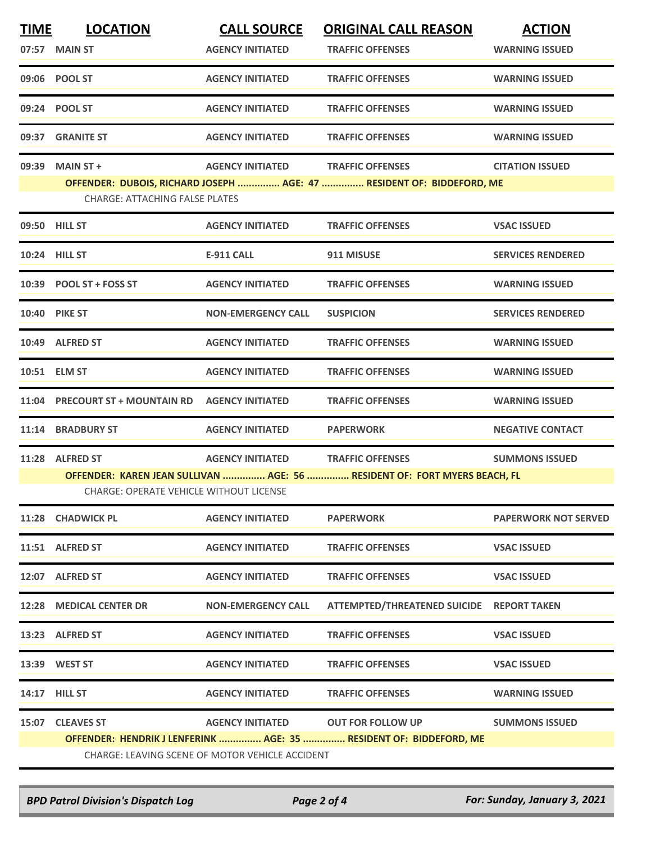| <b>TIME</b> | <b>LOCATION</b>                                                                                                             | <b>CALL SOURCE</b>        | <b>ORIGINAL CALL REASON</b>                                           | <b>ACTION</b>               |  |  |  |
|-------------|-----------------------------------------------------------------------------------------------------------------------------|---------------------------|-----------------------------------------------------------------------|-----------------------------|--|--|--|
|             | 07:57 MAIN ST                                                                                                               | <b>AGENCY INITIATED</b>   | <b>TRAFFIC OFFENSES</b>                                               | <b>WARNING ISSUED</b>       |  |  |  |
|             | 09:06 POOL ST                                                                                                               | <b>AGENCY INITIATED</b>   | <b>TRAFFIC OFFENSES</b>                                               | <b>WARNING ISSUED</b>       |  |  |  |
|             | 09:24 POOL ST                                                                                                               | <b>AGENCY INITIATED</b>   | <b>TRAFFIC OFFENSES</b>                                               | <b>WARNING ISSUED</b>       |  |  |  |
| 09:37       | <b>GRANITE ST</b>                                                                                                           | <b>AGENCY INITIATED</b>   | <b>TRAFFIC OFFENSES</b>                                               | <b>WARNING ISSUED</b>       |  |  |  |
| 09:39       | <b>MAIN ST +</b>                                                                                                            | <b>AGENCY INITIATED</b>   | <b>TRAFFIC OFFENSES</b>                                               | <b>CITATION ISSUED</b>      |  |  |  |
|             | <b>CHARGE: ATTACHING FALSE PLATES</b>                                                                                       |                           | OFFENDER: DUBOIS, RICHARD JOSEPH  AGE: 47  RESIDENT OF: BIDDEFORD, ME |                             |  |  |  |
|             | 09:50 HILL ST                                                                                                               | <b>AGENCY INITIATED</b>   | <b>TRAFFIC OFFENSES</b>                                               | <b>VSAC ISSUED</b>          |  |  |  |
|             | 10:24 HILL ST                                                                                                               | <b>E-911 CALL</b>         | 911 MISUSE                                                            | <b>SERVICES RENDERED</b>    |  |  |  |
|             | 10:39 POOL ST + FOSS ST                                                                                                     | <b>AGENCY INITIATED</b>   | <b>TRAFFIC OFFENSES</b>                                               | <b>WARNING ISSUED</b>       |  |  |  |
|             | 10:40 PIKE ST                                                                                                               | <b>NON-EMERGENCY CALL</b> | <b>SUSPICION</b>                                                      | <b>SERVICES RENDERED</b>    |  |  |  |
|             | 10:49 ALFRED ST                                                                                                             | <b>AGENCY INITIATED</b>   | <b>TRAFFIC OFFENSES</b>                                               | <b>WARNING ISSUED</b>       |  |  |  |
|             | 10:51 ELM ST                                                                                                                | <b>AGENCY INITIATED</b>   | <b>TRAFFIC OFFENSES</b>                                               | <b>WARNING ISSUED</b>       |  |  |  |
|             | 11:04 PRECOURT ST + MOUNTAIN RD                                                                                             | <b>AGENCY INITIATED</b>   | <b>TRAFFIC OFFENSES</b>                                               | <b>WARNING ISSUED</b>       |  |  |  |
| 11:14       | <b>BRADBURY ST</b>                                                                                                          | <b>AGENCY INITIATED</b>   | <b>PAPERWORK</b>                                                      | <b>NEGATIVE CONTACT</b>     |  |  |  |
|             | 11:28 ALFRED ST                                                                                                             | <b>AGENCY INITIATED</b>   | <b>TRAFFIC OFFENSES</b>                                               | <b>SUMMONS ISSUED</b>       |  |  |  |
|             | OFFENDER: KAREN JEAN SULLIVAN  AGE: 56  RESIDENT OF: FORT MYERS BEACH, FL<br><b>CHARGE: OPERATE VEHICLE WITHOUT LICENSE</b> |                           |                                                                       |                             |  |  |  |
|             | 11:28 CHADWICK PL                                                                                                           | <b>AGENCY INITIATED</b>   | <b>PAPERWORK</b>                                                      | <b>PAPERWORK NOT SERVED</b> |  |  |  |
|             | 11:51 ALFRED ST                                                                                                             | <b>AGENCY INITIATED</b>   | <b>TRAFFIC OFFENSES</b>                                               | <b>VSAC ISSUED</b>          |  |  |  |
|             | 12:07 ALFRED ST                                                                                                             | <b>AGENCY INITIATED</b>   | <b>TRAFFIC OFFENSES</b>                                               | <b>VSAC ISSUED</b>          |  |  |  |
|             | 12:28 MEDICAL CENTER DR                                                                                                     | <b>NON-EMERGENCY CALL</b> | <b>ATTEMPTED/THREATENED SUICIDE</b>                                   | <b>REPORT TAKEN</b>         |  |  |  |
|             | 13:23 ALFRED ST                                                                                                             | <b>AGENCY INITIATED</b>   | <b>TRAFFIC OFFENSES</b>                                               | <b>VSAC ISSUED</b>          |  |  |  |
|             | 13:39 WEST ST                                                                                                               | <b>AGENCY INITIATED</b>   | <b>TRAFFIC OFFENSES</b>                                               | <b>VSAC ISSUED</b>          |  |  |  |
|             | <b>14:17 HILL ST</b>                                                                                                        | <b>AGENCY INITIATED</b>   | <b>TRAFFIC OFFENSES</b>                                               | <b>WARNING ISSUED</b>       |  |  |  |
|             | 15:07 CLEAVES ST                                                                                                            | <b>AGENCY INITIATED</b>   | <b>OUT FOR FOLLOW UP</b>                                              | <b>SUMMONS ISSUED</b>       |  |  |  |
|             | OFFENDER: HENDRIK J LENFERINK  AGE: 35  RESIDENT OF: BIDDEFORD, ME<br>CHARGE: LEAVING SCENE OF MOTOR VEHICLE ACCIDENT       |                           |                                                                       |                             |  |  |  |
|             |                                                                                                                             |                           |                                                                       |                             |  |  |  |

*BPD Patrol Division's Dispatch Log Page 2 of 4 For: Sunday, January 3, 2021*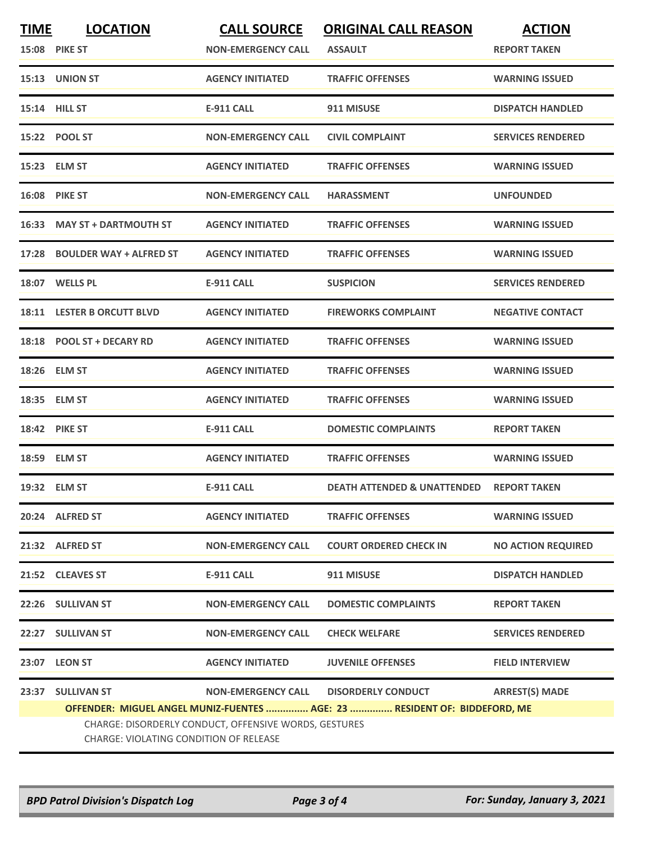| <u>TIME</u> | <b>LOCATION</b><br><b>15:08 PIKE ST</b>                                                                                                                                      | <b>CALL SOURCE</b><br><b>NON-EMERGENCY CALL</b> | <b>ORIGINAL CALL REASON</b><br><b>ASSAULT</b> | <b>ACTION</b><br><b>REPORT TAKEN</b> |  |  |
|-------------|------------------------------------------------------------------------------------------------------------------------------------------------------------------------------|-------------------------------------------------|-----------------------------------------------|--------------------------------------|--|--|
|             | 15:13 UNION ST                                                                                                                                                               | <b>AGENCY INITIATED</b>                         | <b>TRAFFIC OFFENSES</b>                       | <b>WARNING ISSUED</b>                |  |  |
|             | <b>15:14 HILL ST</b>                                                                                                                                                         | <b>E-911 CALL</b>                               | 911 MISUSE                                    | <b>DISPATCH HANDLED</b>              |  |  |
|             | 15:22 POOL ST                                                                                                                                                                | <b>NON-EMERGENCY CALL</b>                       | <b>CIVIL COMPLAINT</b>                        | <b>SERVICES RENDERED</b>             |  |  |
|             | 15:23 ELM ST                                                                                                                                                                 | <b>AGENCY INITIATED</b>                         | <b>TRAFFIC OFFENSES</b>                       | <b>WARNING ISSUED</b>                |  |  |
|             | <b>16:08 PIKE ST</b>                                                                                                                                                         | <b>NON-EMERGENCY CALL</b>                       | <b>HARASSMENT</b>                             | <b>UNFOUNDED</b>                     |  |  |
| 16:33       | <b>MAY ST + DARTMOUTH ST</b>                                                                                                                                                 | <b>AGENCY INITIATED</b>                         | <b>TRAFFIC OFFENSES</b>                       | <b>WARNING ISSUED</b>                |  |  |
| 17:28       | <b>BOULDER WAY + ALFRED ST</b>                                                                                                                                               | <b>AGENCY INITIATED</b>                         | <b>TRAFFIC OFFENSES</b>                       | <b>WARNING ISSUED</b>                |  |  |
|             | 18:07 WELLS PL                                                                                                                                                               | <b>E-911 CALL</b>                               | <b>SUSPICION</b>                              | <b>SERVICES RENDERED</b>             |  |  |
|             | <b>18:11 LESTER B ORCUTT BLVD</b>                                                                                                                                            | <b>AGENCY INITIATED</b>                         | <b>FIREWORKS COMPLAINT</b>                    | <b>NEGATIVE CONTACT</b>              |  |  |
|             | 18:18 POOL ST + DECARY RD                                                                                                                                                    | <b>AGENCY INITIATED</b>                         | <b>TRAFFIC OFFENSES</b>                       | <b>WARNING ISSUED</b>                |  |  |
|             | 18:26 ELM ST                                                                                                                                                                 | <b>AGENCY INITIATED</b>                         | <b>TRAFFIC OFFENSES</b>                       | <b>WARNING ISSUED</b>                |  |  |
|             | 18:35 ELM ST                                                                                                                                                                 | <b>AGENCY INITIATED</b>                         | <b>TRAFFIC OFFENSES</b>                       | <b>WARNING ISSUED</b>                |  |  |
| 18:42       | <b>PIKE ST</b>                                                                                                                                                               | <b>E-911 CALL</b>                               | <b>DOMESTIC COMPLAINTS</b>                    | <b>REPORT TAKEN</b>                  |  |  |
|             | 18:59 ELM ST                                                                                                                                                                 | <b>AGENCY INITIATED</b>                         | <b>TRAFFIC OFFENSES</b>                       | <b>WARNING ISSUED</b>                |  |  |
|             | 19:32 ELM ST                                                                                                                                                                 | <b>E-911 CALL</b>                               | <b>DEATH ATTENDED &amp; UNATTENDED</b>        | <b>REPORT TAKEN</b>                  |  |  |
|             | 20:24 ALFRED ST                                                                                                                                                              | <b>AGENCY INITIATED</b>                         | <b>TRAFFIC OFFENSES</b>                       | <b>WARNING ISSUED</b>                |  |  |
|             | 21:32 ALFRED ST                                                                                                                                                              | <b>NON-EMERGENCY CALL</b>                       | <b>COURT ORDERED CHECK IN</b>                 | <b>NO ACTION REQUIRED</b>            |  |  |
|             | 21:52 CLEAVES ST                                                                                                                                                             | E-911 CALL                                      | 911 MISUSE                                    | <b>DISPATCH HANDLED</b>              |  |  |
|             | 22:26 SULLIVAN ST                                                                                                                                                            | <b>NON-EMERGENCY CALL</b>                       | <b>DOMESTIC COMPLAINTS</b>                    | <b>REPORT TAKEN</b>                  |  |  |
|             | 22:27 SULLIVAN ST                                                                                                                                                            | <b>NON-EMERGENCY CALL</b>                       | <b>CHECK WELFARE</b>                          | <b>SERVICES RENDERED</b>             |  |  |
|             | 23:07 LEON ST                                                                                                                                                                | <b>AGENCY INITIATED</b>                         | <b>JUVENILE OFFENSES</b>                      | <b>FIELD INTERVIEW</b>               |  |  |
| 23:37       | <b>SULLIVAN ST</b>                                                                                                                                                           | <b>NON-EMERGENCY CALL</b>                       | <b>DISORDERLY CONDUCT</b>                     | <b>ARREST(S) MADE</b>                |  |  |
|             | OFFENDER: MIGUEL ANGEL MUNIZ-FUENTES  AGE: 23  RESIDENT OF: BIDDEFORD, ME<br>CHARGE: DISORDERLY CONDUCT, OFFENSIVE WORDS, GESTURES<br>CHARGE: VIOLATING CONDITION OF RELEASE |                                                 |                                               |                                      |  |  |